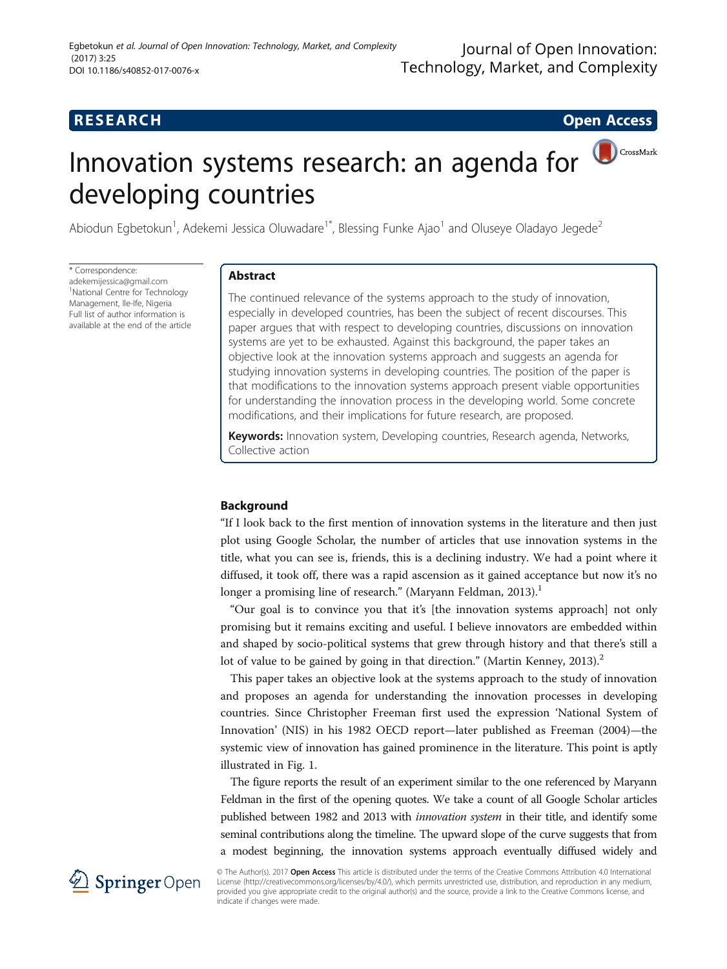# **RESEARCH CHINESE ARCH CHINESE ARCH CHINESE ARCH <b>CHINESE ARCH**

# CrossMark Innovation systems research: an agenda for developing countries

Abiodun Egbetokun<sup>1</sup>, Adekemi Jessica Oluwadare<sup>1\*</sup>, Blessing Funke Ajao<sup>1</sup> and Oluseye Oladayo Jegede<sup>2</sup>

\* Correspondence: [adekemijessica@gmail.com](mailto:adekemijessica@gmail.com) <sup>1</sup>National Centre for Technology Management, Ile-Ife, Nigeria Full list of author information is available at the end of the article

# Abstract

The continued relevance of the systems approach to the study of innovation, especially in developed countries, has been the subject of recent discourses. This paper argues that with respect to developing countries, discussions on innovation systems are yet to be exhausted. Against this background, the paper takes an objective look at the innovation systems approach and suggests an agenda for studying innovation systems in developing countries. The position of the paper is that modifications to the innovation systems approach present viable opportunities for understanding the innovation process in the developing world. Some concrete modifications, and their implications for future research, are proposed.

Keywords: Innovation system, Developing countries, Research agenda, Networks, Collective action

# Background

"If I look back to the first mention of innovation systems in the literature and then just plot using Google Scholar, the number of articles that use innovation systems in the title, what you can see is, friends, this is a declining industry. We had a point where it diffused, it took off, there was a rapid ascension as it gained acceptance but now it's no longer a promising line of research." (Maryann Feldman, 2013).<sup>1</sup>

"Our goal is to convince you that it's [the innovation systems approach] not only promising but it remains exciting and useful. I believe innovators are embedded within and shaped by socio-political systems that grew through history and that there's still a lot of value to be gained by going in that direction." (Martin Kenney, 2013).<sup>2</sup>

This paper takes an objective look at the systems approach to the study of innovation and proposes an agenda for understanding the innovation processes in developing countries. Since Christopher Freeman first used the expression 'National System of Innovation' (NIS) in his 1982 OECD report—later published as Freeman (2004)—the systemic view of innovation has gained prominence in the literature. This point is aptly illustrated in Fig. [1.](#page-1-0)

The figure reports the result of an experiment similar to the one referenced by Maryann Feldman in the first of the opening quotes. We take a count of all Google Scholar articles published between 1982 and 2013 with innovation system in their title, and identify some seminal contributions along the timeline. The upward slope of the curve suggests that from a modest beginning, the innovation systems approach eventually diffused widely and



© The Author(s). 2017 Open Access This article is distributed under the terms of the Creative Commons Attribution 4.0 International License [\(http://creativecommons.org/licenses/by/4.0/](http://creativecommons.org/licenses/by/4.0/)), which permits unrestricted use, distribution, and reproduction in any medium, provided you give appropriate credit to the original author(s) and the source, provide a link to the Creative Commons license, and indicate if changes were made.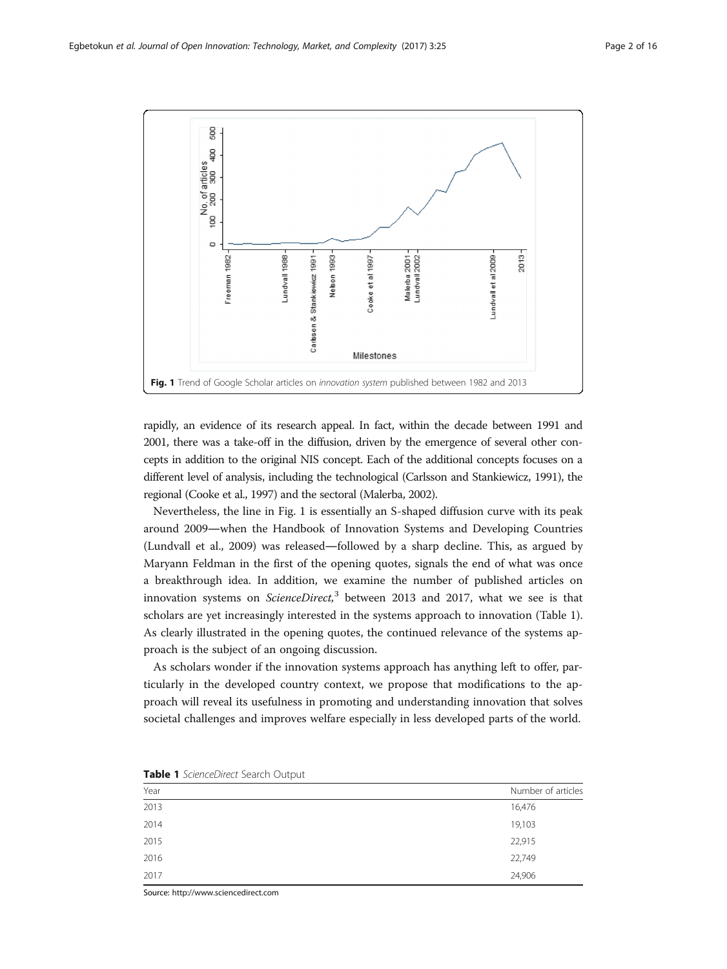<span id="page-1-0"></span>

rapidly, an evidence of its research appeal. In fact, within the decade between 1991 and 2001, there was a take-off in the diffusion, driven by the emergence of several other concepts in addition to the original NIS concept. Each of the additional concepts focuses on a different level of analysis, including the technological (Carlsson and Stankiewicz, [1991](#page-14-0)), the regional (Cooke et al., [1997](#page-14-0)) and the sectoral (Malerba, [2002\)](#page-15-0).

Nevertheless, the line in Fig. 1 is essentially an S-shaped diffusion curve with its peak around 2009―when the Handbook of Innovation Systems and Developing Countries (Lundvall et al., [2009](#page-15-0)) was released―followed by a sharp decline. This, as argued by Maryann Feldman in the first of the opening quotes, signals the end of what was once a breakthrough idea. In addition, we examine the number of published articles on innovation systems on  $ScienceDirect$ ,<sup>3</sup> between 2013 and 2017, what we see is that scholars are yet increasingly interested in the systems approach to innovation (Table 1). As clearly illustrated in the opening quotes, the continued relevance of the systems approach is the subject of an ongoing discussion.

As scholars wonder if the innovation systems approach has anything left to offer, particularly in the developed country context, we propose that modifications to the approach will reveal its usefulness in promoting and understanding innovation that solves societal challenges and improves welfare especially in less developed parts of the world.

| Year | Number of articles |  |  |
|------|--------------------|--|--|
| 2013 | 16,476             |  |  |
| 2014 | 19,103             |  |  |
| 2015 | 22,915             |  |  |
| 2016 | 22,749             |  |  |
| 2017 | 24,906             |  |  |
|      |                    |  |  |

Table 1 ScienceDirect Search Output

Source: <http://www.sciencedirect.com>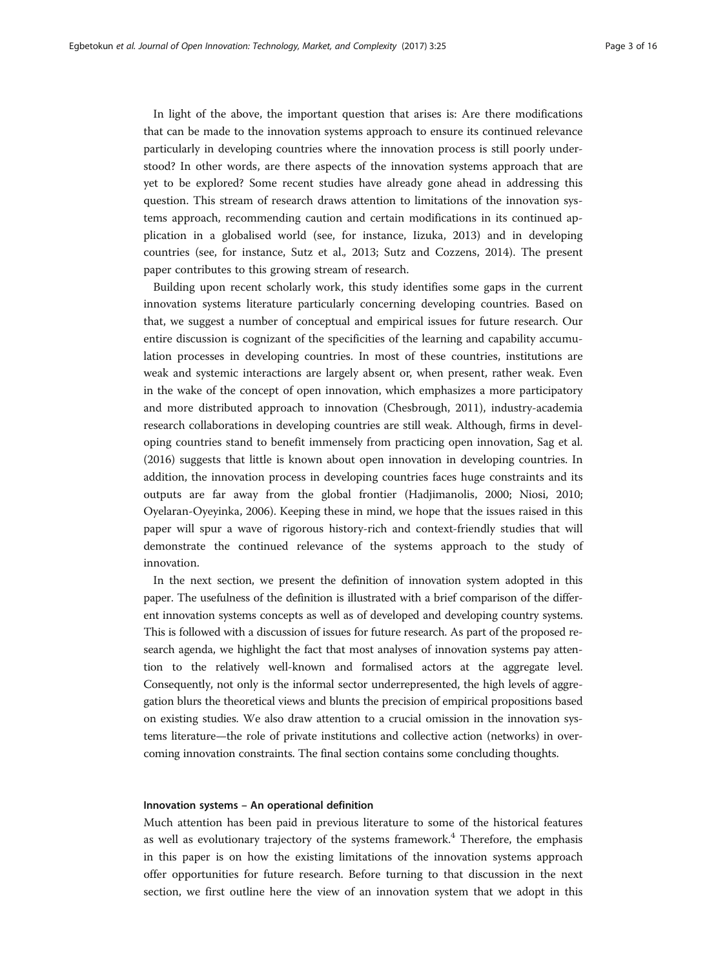In light of the above, the important question that arises is: Are there modifications that can be made to the innovation systems approach to ensure its continued relevance particularly in developing countries where the innovation process is still poorly understood? In other words, are there aspects of the innovation systems approach that are yet to be explored? Some recent studies have already gone ahead in addressing this question. This stream of research draws attention to limitations of the innovation systems approach, recommending caution and certain modifications in its continued application in a globalised world (see, for instance, Iizuka, [2013\)](#page-15-0) and in developing countries (see, for instance, Sutz et al., 2013; Sutz and Cozzens, [2014](#page-14-0)). The present paper contributes to this growing stream of research.

Building upon recent scholarly work, this study identifies some gaps in the current innovation systems literature particularly concerning developing countries. Based on that, we suggest a number of conceptual and empirical issues for future research. Our entire discussion is cognizant of the specificities of the learning and capability accumulation processes in developing countries. In most of these countries, institutions are weak and systemic interactions are largely absent or, when present, rather weak. Even in the wake of the concept of open innovation, which emphasizes a more participatory and more distributed approach to innovation (Chesbrough, [2011\)](#page-14-0), industry-academia research collaborations in developing countries are still weak. Although, firms in developing countries stand to benefit immensely from practicing open innovation, Sag et al. ([2016](#page-15-0)) suggests that little is known about open innovation in developing countries. In addition, the innovation process in developing countries faces huge constraints and its outputs are far away from the global frontier (Hadjimanolis, [2000](#page-14-0); Niosi, [2010](#page-15-0); Oyelaran-Oyeyinka, [2006](#page-15-0)). Keeping these in mind, we hope that the issues raised in this paper will spur a wave of rigorous history-rich and context-friendly studies that will demonstrate the continued relevance of the systems approach to the study of innovation.

In the next section, we present the definition of innovation system adopted in this paper. The usefulness of the definition is illustrated with a brief comparison of the different innovation systems concepts as well as of developed and developing country systems. This is followed with a discussion of issues for future research. As part of the proposed research agenda, we highlight the fact that most analyses of innovation systems pay attention to the relatively well-known and formalised actors at the aggregate level. Consequently, not only is the informal sector underrepresented, the high levels of aggregation blurs the theoretical views and blunts the precision of empirical propositions based on existing studies. We also draw attention to a crucial omission in the innovation systems literature—the role of private institutions and collective action (networks) in overcoming innovation constraints. The final section contains some concluding thoughts.

#### Innovation systems – An operational definition

Much attention has been paid in previous literature to some of the historical features as well as evolutionary trajectory of the systems framework.<sup>4</sup> Therefore, the emphasis in this paper is on how the existing limitations of the innovation systems approach offer opportunities for future research. Before turning to that discussion in the next section, we first outline here the view of an innovation system that we adopt in this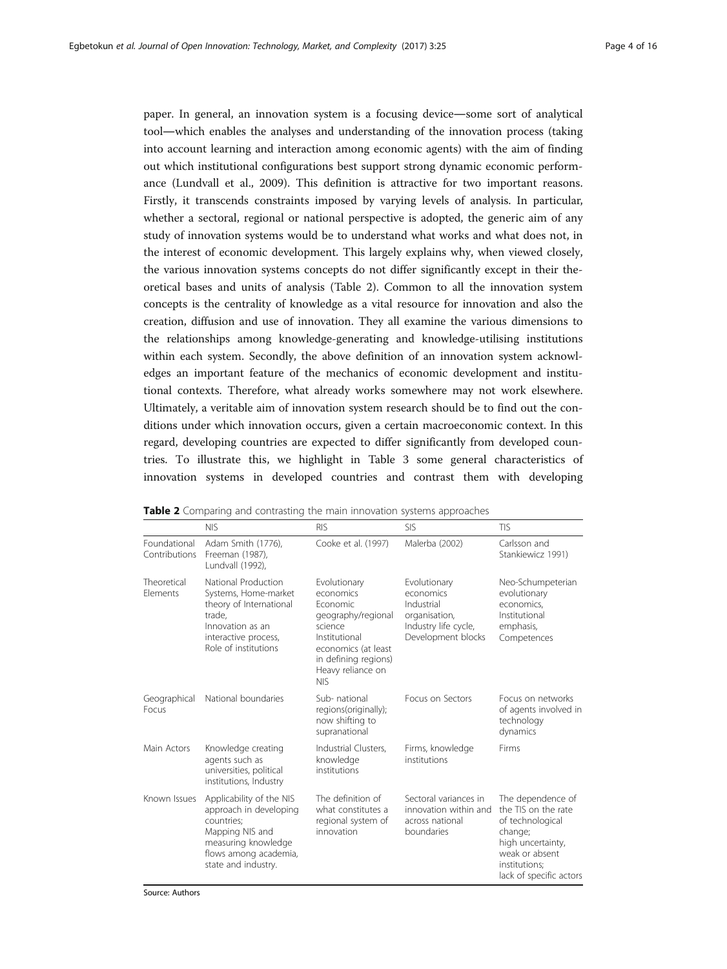paper. In general, an innovation system is a focusing device―some sort of analytical tool―which enables the analyses and understanding of the innovation process (taking into account learning and interaction among economic agents) with the aim of finding out which institutional configurations best support strong dynamic economic performance (Lundvall et al., [2009](#page-15-0)). This definition is attractive for two important reasons. Firstly, it transcends constraints imposed by varying levels of analysis. In particular, whether a sectoral, regional or national perspective is adopted, the generic aim of any study of innovation systems would be to understand what works and what does not, in the interest of economic development. This largely explains why, when viewed closely, the various innovation systems concepts do not differ significantly except in their theoretical bases and units of analysis (Table 2). Common to all the innovation system concepts is the centrality of knowledge as a vital resource for innovation and also the creation, diffusion and use of innovation. They all examine the various dimensions to the relationships among knowledge-generating and knowledge-utilising institutions within each system. Secondly, the above definition of an innovation system acknowledges an important feature of the mechanics of economic development and institutional contexts. Therefore, what already works somewhere may not work elsewhere. Ultimately, a veritable aim of innovation system research should be to find out the conditions under which innovation occurs, given a certain macroeconomic context. In this regard, developing countries are expected to differ significantly from developed countries. To illustrate this, we highlight in Table [3](#page-4-0) some general characteristics of innovation systems in developed countries and contrast them with developing

|                               | <b>NIS</b>                                                                                                                                                 | <b>RIS</b>                                                                                                                                                                | <b>SIS</b>                                                                                             | <b>TIS</b>                                                                                                                                                 |
|-------------------------------|------------------------------------------------------------------------------------------------------------------------------------------------------------|---------------------------------------------------------------------------------------------------------------------------------------------------------------------------|--------------------------------------------------------------------------------------------------------|------------------------------------------------------------------------------------------------------------------------------------------------------------|
| Foundational<br>Contributions | Adam Smith (1776),<br>Freeman (1987),<br>Lundvall (1992),                                                                                                  | Cooke et al. (1997)                                                                                                                                                       | Malerba (2002)                                                                                         | Carlsson and<br>Stankiewicz 1991)                                                                                                                          |
| Theoretical<br>Elements       | National Production<br>Systems, Home-market<br>theory of International<br>trade,<br>Innovation as an<br>interactive process,<br>Role of institutions       | Evolutionary<br>economics<br>Fronomic<br>geography/regional<br>science<br>Institutional<br>economics (at least<br>in defining regions)<br>Heavy reliance on<br><b>NIS</b> | Evolutionary<br>economics<br>Industrial<br>organisation,<br>Industry life cycle,<br>Development blocks | Neo-Schumpeterian<br>evolutionary<br>economics,<br>Institutional<br>emphasis,<br>Competences                                                               |
| Geographical<br>Focus         | National boundaries                                                                                                                                        | Sub-national<br>regions(originally);<br>now shifting to<br>supranational                                                                                                  | Focus on Sectors                                                                                       | Focus on networks<br>of agents involved in<br>technology<br>dynamics                                                                                       |
| Main Actors                   | Knowledge creating<br>agents such as<br>universities, political<br>institutions, Industry                                                                  | Industrial Clusters,<br>knowledge<br>institutions                                                                                                                         | Firms, knowledge<br>institutions                                                                       | Firms                                                                                                                                                      |
| Known Issues                  | Applicability of the NIS<br>approach in developing<br>countries:<br>Mapping NIS and<br>measuring knowledge<br>flows among academia,<br>state and industry. | The definition of<br>what constitutes a<br>regional system of<br>innovation                                                                                               | Sectoral variances in<br>innovation within and<br>across national<br>boundaries                        | The dependence of<br>the TIS on the rate<br>of technological<br>change;<br>high uncertainty,<br>weak or absent<br>institutions;<br>lack of specific actors |

Table 2 Comparing and contrasting the main innovation systems approaches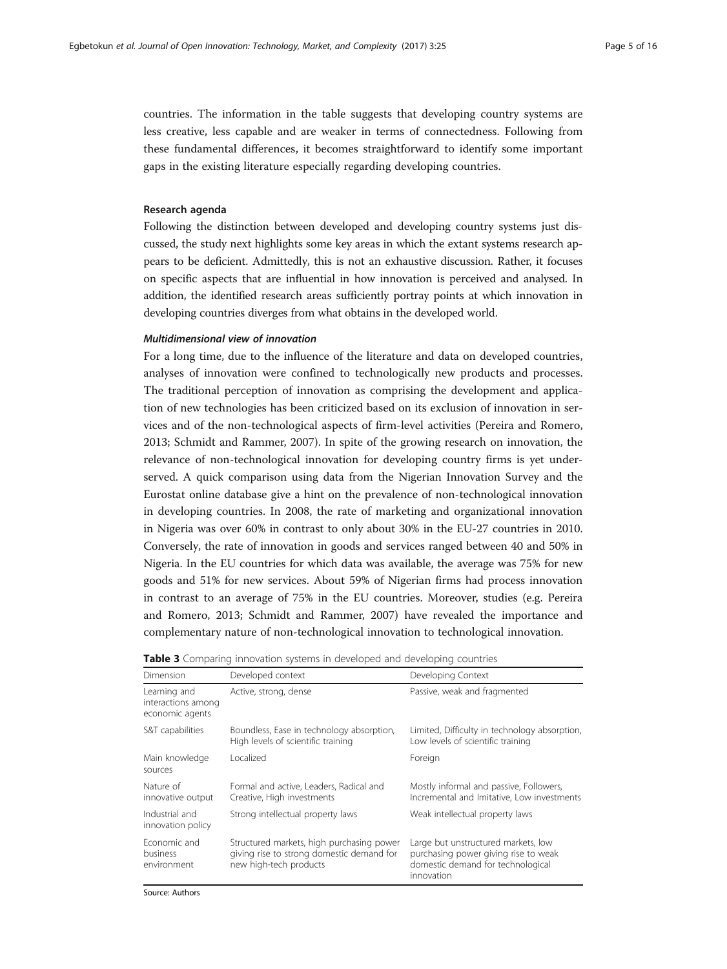<span id="page-4-0"></span>countries. The information in the table suggests that developing country systems are less creative, less capable and are weaker in terms of connectedness. Following from these fundamental differences, it becomes straightforward to identify some important gaps in the existing literature especially regarding developing countries.

### Research agenda

Following the distinction between developed and developing country systems just discussed, the study next highlights some key areas in which the extant systems research appears to be deficient. Admittedly, this is not an exhaustive discussion. Rather, it focuses on specific aspects that are influential in how innovation is perceived and analysed. In addition, the identified research areas sufficiently portray points at which innovation in developing countries diverges from what obtains in the developed world.

# Multidimensional view of innovation

For a long time, due to the influence of the literature and data on developed countries, analyses of innovation were confined to technologically new products and processes. The traditional perception of innovation as comprising the development and application of new technologies has been criticized based on its exclusion of innovation in services and of the non-technological aspects of firm-level activities (Pereira and Romero, [2013](#page-15-0); Schmidt and Rammer, [2007\)](#page-15-0). In spite of the growing research on innovation, the relevance of non-technological innovation for developing country firms is yet underserved. A quick comparison using data from the Nigerian Innovation Survey and the Eurostat online database give a hint on the prevalence of non-technological innovation in developing countries. In 2008, the rate of marketing and organizational innovation in Nigeria was over 60% in contrast to only about 30% in the EU-27 countries in 2010. Conversely, the rate of innovation in goods and services ranged between 40 and 50% in Nigeria. In the EU countries for which data was available, the average was 75% for new goods and 51% for new services. About 59% of Nigerian firms had process innovation in contrast to an average of 75% in the EU countries. Moreover, studies (e.g. Pereira and Romero, [2013;](#page-15-0) Schmidt and Rammer, [2007](#page-15-0)) have revealed the importance and complementary nature of non-technological innovation to technological innovation.

| Dimension                                             | Developed context                                                                                                | Developing Context                                                                                                             |
|-------------------------------------------------------|------------------------------------------------------------------------------------------------------------------|--------------------------------------------------------------------------------------------------------------------------------|
| Learning and<br>interactions among<br>economic agents | Active, strong, dense                                                                                            | Passive, weak and fragmented                                                                                                   |
| S&T capabilities                                      | Boundless, Ease in technology absorption,<br>High levels of scientific training                                  | Limited, Difficulty in technology absorption,<br>Low levels of scientific training                                             |
| Main knowledge<br>sources                             | Localized                                                                                                        | Foreign                                                                                                                        |
| Nature of<br>innovative output                        | Formal and active, Leaders, Radical and<br>Creative, High investments                                            | Mostly informal and passive, Followers,<br>Incremental and Imitative, Low investments                                          |
| Industrial and<br>innovation policy                   | Strong intellectual property laws                                                                                | Weak intellectual property laws                                                                                                |
| Economic and<br>business<br>environment               | Structured markets, high purchasing power<br>giving rise to strong domestic demand for<br>new high-tech products | Large but unstructured markets, low<br>purchasing power giving rise to weak<br>domestic demand for technological<br>innovation |

|  |  | Table 3 Comparing innovation systems in developed and developing countries |  |  |  |
|--|--|----------------------------------------------------------------------------|--|--|--|
|--|--|----------------------------------------------------------------------------|--|--|--|

Source: Authors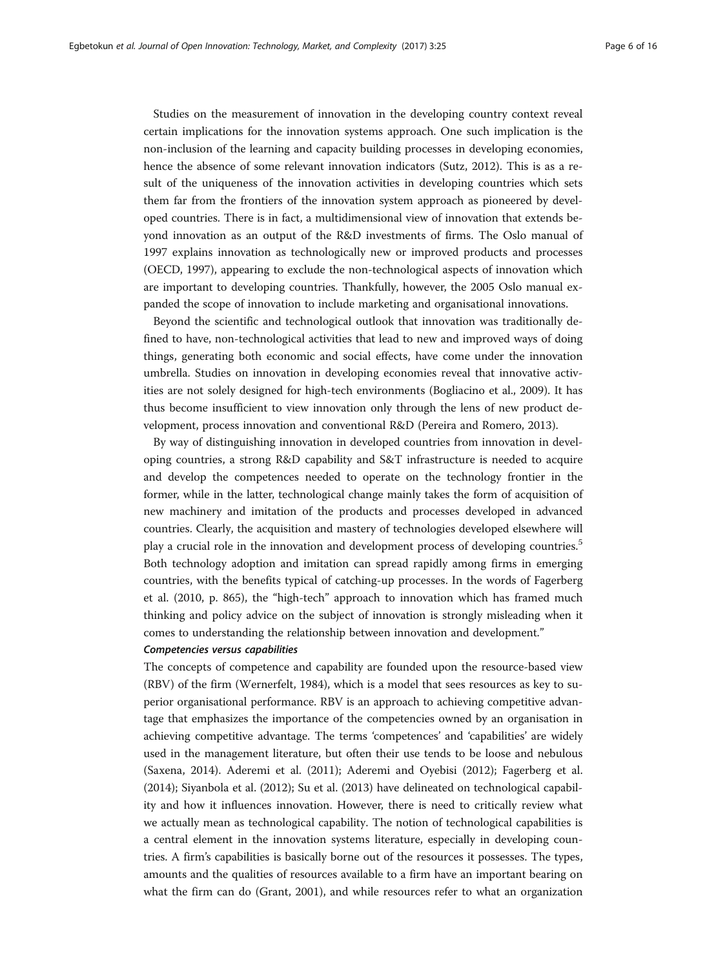Studies on the measurement of innovation in the developing country context reveal certain implications for the innovation systems approach. One such implication is the non-inclusion of the learning and capacity building processes in developing economies, hence the absence of some relevant innovation indicators (Sutz, 2012). This is as a result of the uniqueness of the innovation activities in developing countries which sets them far from the frontiers of the innovation system approach as pioneered by developed countries. There is in fact, a multidimensional view of innovation that extends beyond innovation as an output of the R&D investments of firms. The Oslo manual of 1997 explains innovation as technologically new or improved products and processes (OECD, [1997\)](#page-15-0), appearing to exclude the non-technological aspects of innovation which are important to developing countries. Thankfully, however, the 2005 Oslo manual expanded the scope of innovation to include marketing and organisational innovations.

Beyond the scientific and technological outlook that innovation was traditionally defined to have, non-technological activities that lead to new and improved ways of doing things, generating both economic and social effects, have come under the innovation umbrella. Studies on innovation in developing economies reveal that innovative activities are not solely designed for high-tech environments (Bogliacino et al., [2009\)](#page-14-0). It has thus become insufficient to view innovation only through the lens of new product development, process innovation and conventional R&D (Pereira and Romero, [2013](#page-15-0)).

By way of distinguishing innovation in developed countries from innovation in developing countries, a strong R&D capability and S&T infrastructure is needed to acquire and develop the competences needed to operate on the technology frontier in the former, while in the latter, technological change mainly takes the form of acquisition of new machinery and imitation of the products and processes developed in advanced countries. Clearly, the acquisition and mastery of technologies developed elsewhere will play a crucial role in the innovation and development process of developing countries.<sup>5</sup> Both technology adoption and imitation can spread rapidly among firms in emerging countries, with the benefits typical of catching-up processes. In the words of Fagerberg et al. ([2010](#page-14-0), p. 865), the "high-tech" approach to innovation which has framed much thinking and policy advice on the subject of innovation is strongly misleading when it comes to understanding the relationship between innovation and development."

#### Competencies versus capabilities

The concepts of competence and capability are founded upon the resource-based view (RBV) of the firm (Wernerfelt, [1984](#page-15-0)), which is a model that sees resources as key to superior organisational performance. RBV is an approach to achieving competitive advantage that emphasizes the importance of the competencies owned by an organisation in achieving competitive advantage. The terms 'competences' and 'capabilities' are widely used in the management literature, but often their use tends to be loose and nebulous (Saxena, [2014\)](#page-15-0). Aderemi et al. ([2011](#page-14-0)); Aderemi and Oyebisi [\(2012\)](#page-14-0); Fagerberg et al. ([2014](#page-14-0)); Siyanbola et al. [\(2012\)](#page-15-0); Su et al. [\(2013\)](#page-15-0) have delineated on technological capability and how it influences innovation. However, there is need to critically review what we actually mean as technological capability. The notion of technological capabilities is a central element in the innovation systems literature, especially in developing countries. A firm's capabilities is basically borne out of the resources it possesses. The types, amounts and the qualities of resources available to a firm have an important bearing on what the firm can do (Grant, [2001\)](#page-14-0), and while resources refer to what an organization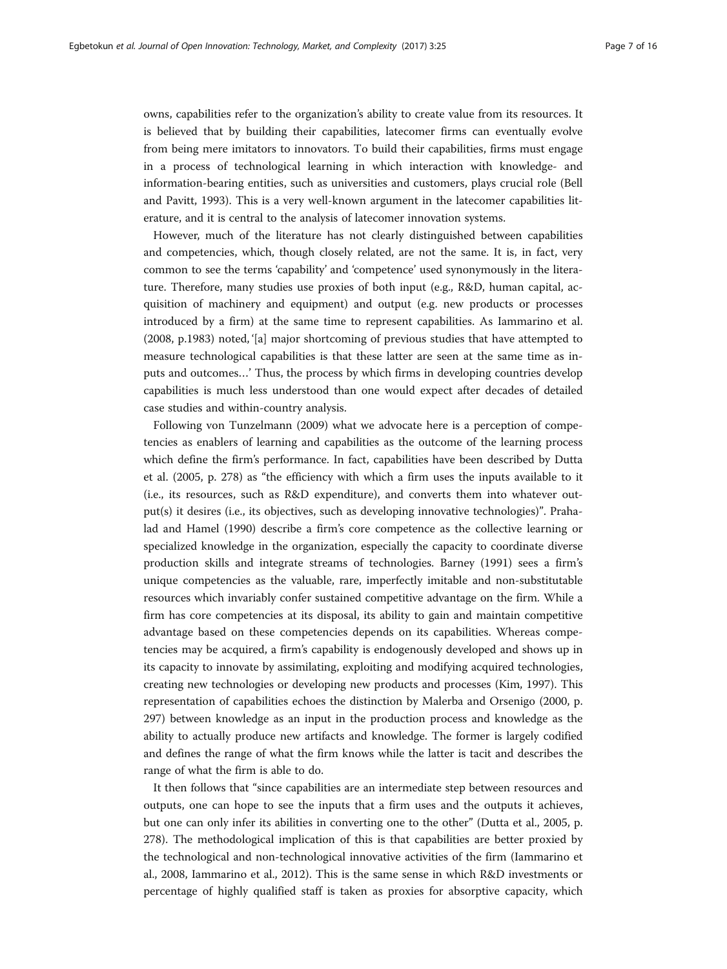owns, capabilities refer to the organization's ability to create value from its resources. It is believed that by building their capabilities, latecomer firms can eventually evolve from being mere imitators to innovators. To build their capabilities, firms must engage in a process of technological learning in which interaction with knowledge- and information-bearing entities, such as universities and customers, plays crucial role (Bell and Pavitt, [1993\)](#page-14-0). This is a very well-known argument in the latecomer capabilities literature, and it is central to the analysis of latecomer innovation systems.

However, much of the literature has not clearly distinguished between capabilities and competencies, which, though closely related, are not the same. It is, in fact, very common to see the terms 'capability' and 'competence' used synonymously in the literature. Therefore, many studies use proxies of both input (e.g., R&D, human capital, acquisition of machinery and equipment) and output (e.g. new products or processes introduced by a firm) at the same time to represent capabilities. As Iammarino et al. ([2008](#page-14-0), p.1983) noted, '[a] major shortcoming of previous studies that have attempted to measure technological capabilities is that these latter are seen at the same time as inputs and outcomes…' Thus, the process by which firms in developing countries develop capabilities is much less understood than one would expect after decades of detailed case studies and within-country analysis.

Following von Tunzelmann [\(2009\)](#page-15-0) what we advocate here is a perception of competencies as enablers of learning and capabilities as the outcome of the learning process which define the firm's performance. In fact, capabilities have been described by Dutta et al. ([2005](#page-14-0), p. 278) as "the efficiency with which a firm uses the inputs available to it (i.e., its resources, such as R&D expenditure), and converts them into whatever output(s) it desires (i.e., its objectives, such as developing innovative technologies)". Prahalad and Hamel ([1990\)](#page-15-0) describe a firm's core competence as the collective learning or specialized knowledge in the organization, especially the capacity to coordinate diverse production skills and integrate streams of technologies. Barney ([1991\)](#page-15-0) sees a firm's unique competencies as the valuable, rare, imperfectly imitable and non-substitutable resources which invariably confer sustained competitive advantage on the firm. While a firm has core competencies at its disposal, its ability to gain and maintain competitive advantage based on these competencies depends on its capabilities. Whereas competencies may be acquired, a firm's capability is endogenously developed and shows up in its capacity to innovate by assimilating, exploiting and modifying acquired technologies, creating new technologies or developing new products and processes (Kim, [1997](#page-15-0)). This representation of capabilities echoes the distinction by Malerba and Orsenigo [\(2000,](#page-15-0) p. 297) between knowledge as an input in the production process and knowledge as the ability to actually produce new artifacts and knowledge. The former is largely codified and defines the range of what the firm knows while the latter is tacit and describes the range of what the firm is able to do.

It then follows that "since capabilities are an intermediate step between resources and outputs, one can hope to see the inputs that a firm uses and the outputs it achieves, but one can only infer its abilities in converting one to the other" (Dutta et al., [2005,](#page-14-0) p. 278). The methodological implication of this is that capabilities are better proxied by the technological and non-technological innovative activities of the firm (Iammarino et al., [2008,](#page-14-0) Iammarino et al., [2012](#page-15-0)). This is the same sense in which R&D investments or percentage of highly qualified staff is taken as proxies for absorptive capacity, which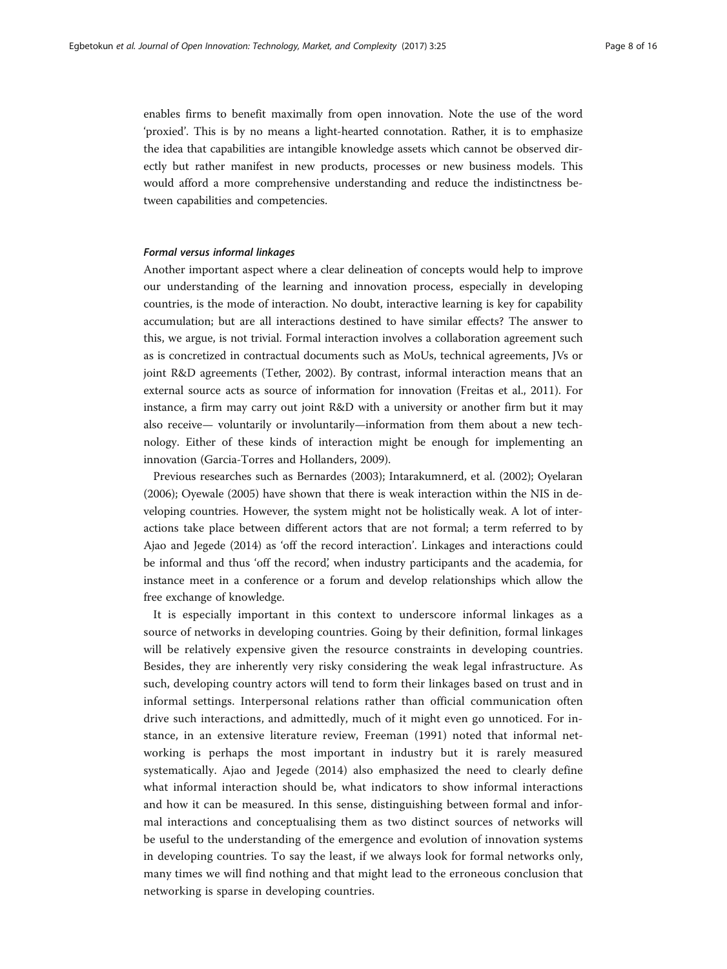enables firms to benefit maximally from open innovation. Note the use of the word 'proxied'. This is by no means a light-hearted connotation. Rather, it is to emphasize the idea that capabilities are intangible knowledge assets which cannot be observed directly but rather manifest in new products, processes or new business models. This would afford a more comprehensive understanding and reduce the indistinctness between capabilities and competencies.

# Formal versus informal linkages

Another important aspect where a clear delineation of concepts would help to improve our understanding of the learning and innovation process, especially in developing countries, is the mode of interaction. No doubt, interactive learning is key for capability accumulation; but are all interactions destined to have similar effects? The answer to this, we argue, is not trivial. Formal interaction involves a collaboration agreement such as is concretized in contractual documents such as MoUs, technical agreements, JVs or joint R&D agreements (Tether, [2002\)](#page-15-0). By contrast, informal interaction means that an external source acts as source of information for innovation (Freitas et al., [2011\)](#page-14-0). For instance, a firm may carry out joint R&D with a university or another firm but it may also receive— voluntarily or involuntarily—information from them about a new technology. Either of these kinds of interaction might be enough for implementing an innovation (Garcia-Torres and Hollanders, [2009\)](#page-14-0).

Previous researches such as Bernardes ([2003](#page-14-0)); Intarakumnerd, et al. [\(2002](#page-15-0)); Oyelaran (2006); Oyewale ([2005](#page-15-0)) have shown that there is weak interaction within the NIS in developing countries. However, the system might not be holistically weak. A lot of interactions take place between different actors that are not formal; a term referred to by Ajao and Jegede ([2014](#page-14-0)) as 'off the record interaction'. Linkages and interactions could be informal and thus 'off the record', when industry participants and the academia, for instance meet in a conference or a forum and develop relationships which allow the free exchange of knowledge.

It is especially important in this context to underscore informal linkages as a source of networks in developing countries. Going by their definition, formal linkages will be relatively expensive given the resource constraints in developing countries. Besides, they are inherently very risky considering the weak legal infrastructure. As such, developing country actors will tend to form their linkages based on trust and in informal settings. Interpersonal relations rather than official communication often drive such interactions, and admittedly, much of it might even go unnoticed. For instance, in an extensive literature review, Freeman ([1991](#page-14-0)) noted that informal networking is perhaps the most important in industry but it is rarely measured systematically. Ajao and Jegede [\(2014\)](#page-14-0) also emphasized the need to clearly define what informal interaction should be, what indicators to show informal interactions and how it can be measured. In this sense, distinguishing between formal and informal interactions and conceptualising them as two distinct sources of networks will be useful to the understanding of the emergence and evolution of innovation systems in developing countries. To say the least, if we always look for formal networks only, many times we will find nothing and that might lead to the erroneous conclusion that networking is sparse in developing countries.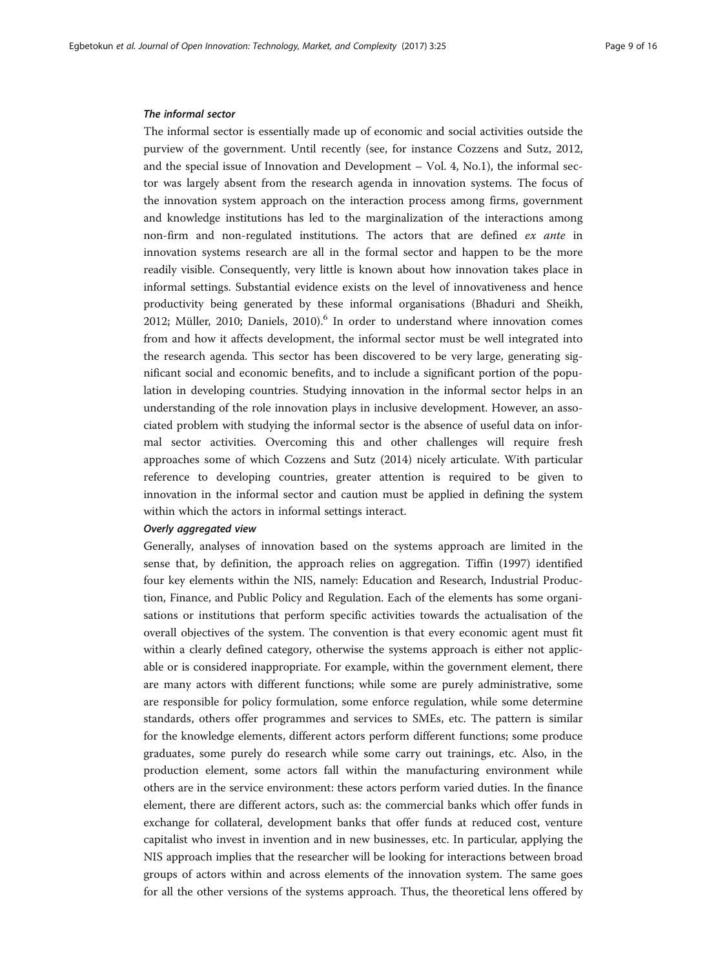#### The informal sector

The informal sector is essentially made up of economic and social activities outside the purview of the government. Until recently (see, for instance Cozzens and Sutz, [2012](#page-14-0), and the special issue of Innovation and Development  $-$  Vol. 4, No.1), the informal sector was largely absent from the research agenda in innovation systems. The focus of the innovation system approach on the interaction process among firms, government and knowledge institutions has led to the marginalization of the interactions among non-firm and non-regulated institutions. The actors that are defined ex ante in innovation systems research are all in the formal sector and happen to be the more readily visible. Consequently, very little is known about how innovation takes place in informal settings. Substantial evidence exists on the level of innovativeness and hence productivity being generated by these informal organisations (Bhaduri and Sheikh, [2012](#page-14-0); Müller, [2010;](#page-15-0) Daniels, [2010\)](#page-14-0). $6$  In order to understand where innovation comes from and how it affects development, the informal sector must be well integrated into the research agenda. This sector has been discovered to be very large, generating significant social and economic benefits, and to include a significant portion of the population in developing countries. Studying innovation in the informal sector helps in an understanding of the role innovation plays in inclusive development. However, an associated problem with studying the informal sector is the absence of useful data on informal sector activities. Overcoming this and other challenges will require fresh approaches some of which Cozzens and Sutz ([2014\)](#page-14-0) nicely articulate. With particular reference to developing countries, greater attention is required to be given to innovation in the informal sector and caution must be applied in defining the system within which the actors in informal settings interact.

# Overly aggregated view

Generally, analyses of innovation based on the systems approach are limited in the sense that, by definition, the approach relies on aggregation. Tiffin ([1997\)](#page-15-0) identified four key elements within the NIS, namely: Education and Research, Industrial Production, Finance, and Public Policy and Regulation. Each of the elements has some organisations or institutions that perform specific activities towards the actualisation of the overall objectives of the system. The convention is that every economic agent must fit within a clearly defined category, otherwise the systems approach is either not applicable or is considered inappropriate. For example, within the government element, there are many actors with different functions; while some are purely administrative, some are responsible for policy formulation, some enforce regulation, while some determine standards, others offer programmes and services to SMEs, etc. The pattern is similar for the knowledge elements, different actors perform different functions; some produce graduates, some purely do research while some carry out trainings, etc. Also, in the production element, some actors fall within the manufacturing environment while others are in the service environment: these actors perform varied duties. In the finance element, there are different actors, such as: the commercial banks which offer funds in exchange for collateral, development banks that offer funds at reduced cost, venture capitalist who invest in invention and in new businesses, etc. In particular, applying the NIS approach implies that the researcher will be looking for interactions between broad groups of actors within and across elements of the innovation system. The same goes for all the other versions of the systems approach. Thus, the theoretical lens offered by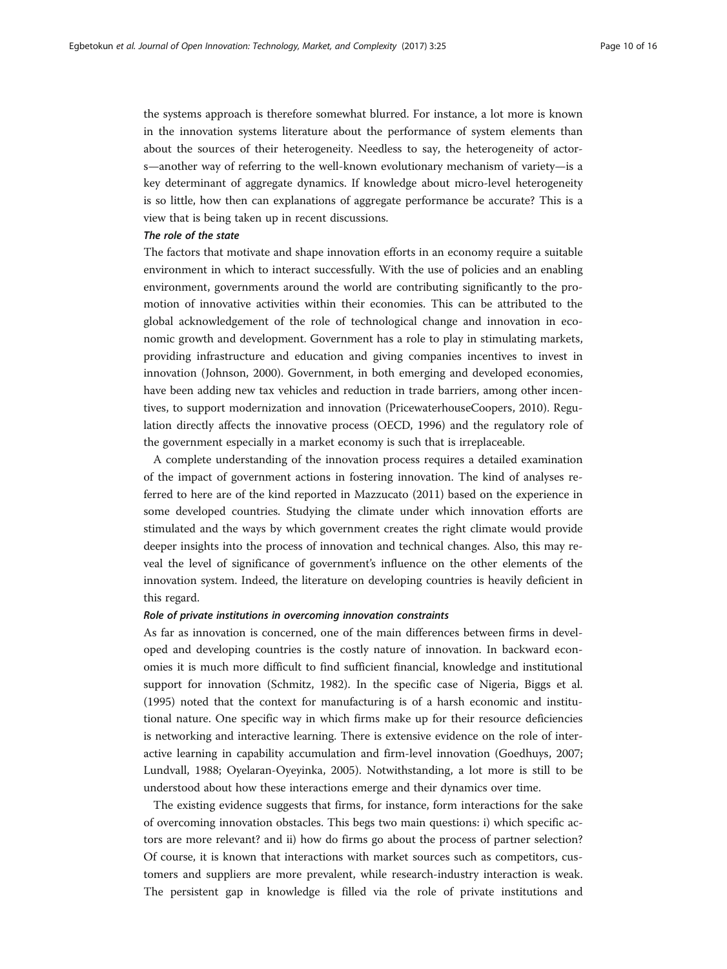the systems approach is therefore somewhat blurred. For instance, a lot more is known in the innovation systems literature about the performance of system elements than about the sources of their heterogeneity. Needless to say, the heterogeneity of actors—another way of referring to the well-known evolutionary mechanism of variety—is a key determinant of aggregate dynamics. If knowledge about micro-level heterogeneity is so little, how then can explanations of aggregate performance be accurate? This is a view that is being taken up in recent discussions.

#### The role of the state

The factors that motivate and shape innovation efforts in an economy require a suitable environment in which to interact successfully. With the use of policies and an enabling environment, governments around the world are contributing significantly to the promotion of innovative activities within their economies. This can be attributed to the global acknowledgement of the role of technological change and innovation in economic growth and development. Government has a role to play in stimulating markets, providing infrastructure and education and giving companies incentives to invest in innovation (Johnson, [2000](#page-15-0)). Government, in both emerging and developed economies, have been adding new tax vehicles and reduction in trade barriers, among other incentives, to support modernization and innovation (PricewaterhouseCoopers, [2010](#page-15-0)). Regulation directly affects the innovative process (OECD, [1996\)](#page-15-0) and the regulatory role of the government especially in a market economy is such that is irreplaceable.

A complete understanding of the innovation process requires a detailed examination of the impact of government actions in fostering innovation. The kind of analyses referred to here are of the kind reported in Mazzucato [\(2011\)](#page-15-0) based on the experience in some developed countries. Studying the climate under which innovation efforts are stimulated and the ways by which government creates the right climate would provide deeper insights into the process of innovation and technical changes. Also, this may reveal the level of significance of government's influence on the other elements of the innovation system. Indeed, the literature on developing countries is heavily deficient in this regard.

#### Role of private institutions in overcoming innovation constraints

As far as innovation is concerned, one of the main differences between firms in developed and developing countries is the costly nature of innovation. In backward economies it is much more difficult to find sufficient financial, knowledge and institutional support for innovation (Schmitz, [1982\)](#page-15-0). In the specific case of Nigeria, Biggs et al. ([1995](#page-14-0)) noted that the context for manufacturing is of a harsh economic and institutional nature. One specific way in which firms make up for their resource deficiencies is networking and interactive learning. There is extensive evidence on the role of interactive learning in capability accumulation and firm-level innovation (Goedhuys, [2007](#page-14-0); Lundvall, [1988](#page-15-0); Oyelaran-Oyeyinka, [2005\)](#page-15-0). Notwithstanding, a lot more is still to be understood about how these interactions emerge and their dynamics over time.

The existing evidence suggests that firms, for instance, form interactions for the sake of overcoming innovation obstacles. This begs two main questions: i) which specific actors are more relevant? and ii) how do firms go about the process of partner selection? Of course, it is known that interactions with market sources such as competitors, customers and suppliers are more prevalent, while research-industry interaction is weak. The persistent gap in knowledge is filled via the role of private institutions and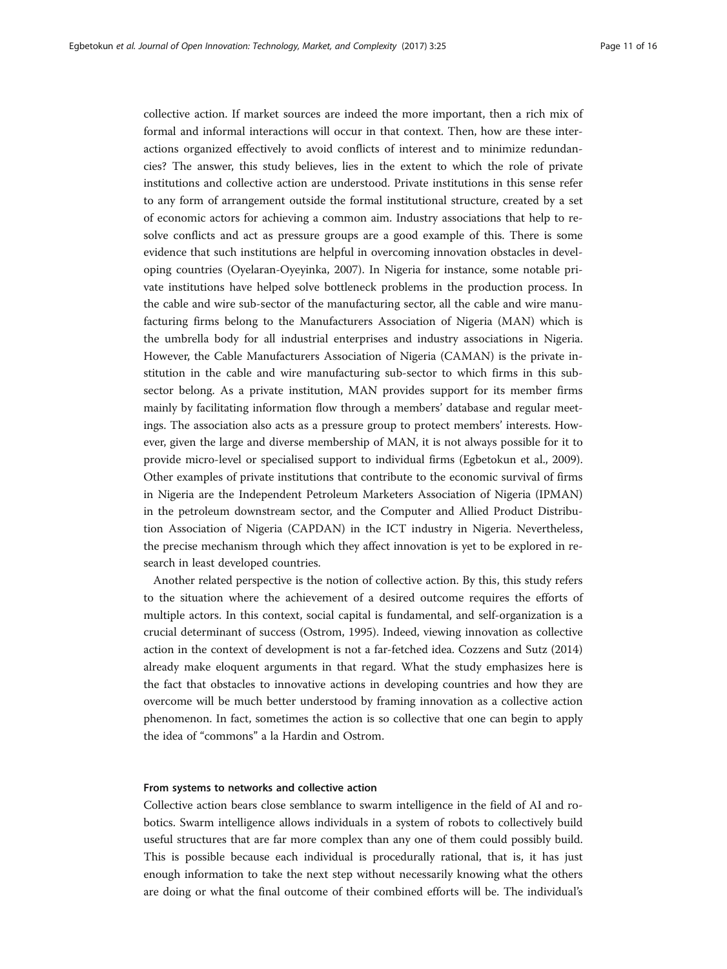collective action. If market sources are indeed the more important, then a rich mix of formal and informal interactions will occur in that context. Then, how are these interactions organized effectively to avoid conflicts of interest and to minimize redundancies? The answer, this study believes, lies in the extent to which the role of private institutions and collective action are understood. Private institutions in this sense refer to any form of arrangement outside the formal institutional structure, created by a set of economic actors for achieving a common aim. Industry associations that help to resolve conflicts and act as pressure groups are a good example of this. There is some evidence that such institutions are helpful in overcoming innovation obstacles in developing countries (Oyelaran-Oyeyinka, [2007\)](#page-15-0). In Nigeria for instance, some notable private institutions have helped solve bottleneck problems in the production process. In the cable and wire sub-sector of the manufacturing sector, all the cable and wire manufacturing firms belong to the Manufacturers Association of Nigeria (MAN) which is the umbrella body for all industrial enterprises and industry associations in Nigeria. However, the Cable Manufacturers Association of Nigeria (CAMAN) is the private institution in the cable and wire manufacturing sub-sector to which firms in this subsector belong. As a private institution, MAN provides support for its member firms mainly by facilitating information flow through a members' database and regular meetings. The association also acts as a pressure group to protect members' interests. However, given the large and diverse membership of MAN, it is not always possible for it to provide micro-level or specialised support to individual firms (Egbetokun et al., [2009](#page-14-0)). Other examples of private institutions that contribute to the economic survival of firms in Nigeria are the Independent Petroleum Marketers Association of Nigeria (IPMAN) in the petroleum downstream sector, and the Computer and Allied Product Distribution Association of Nigeria (CAPDAN) in the ICT industry in Nigeria. Nevertheless, the precise mechanism through which they affect innovation is yet to be explored in research in least developed countries.

Another related perspective is the notion of collective action. By this, this study refers to the situation where the achievement of a desired outcome requires the efforts of multiple actors. In this context, social capital is fundamental, and self-organization is a crucial determinant of success (Ostrom, [1995](#page-15-0)). Indeed, viewing innovation as collective action in the context of development is not a far-fetched idea. Cozzens and Sutz ([2014](#page-14-0)) already make eloquent arguments in that regard. What the study emphasizes here is the fact that obstacles to innovative actions in developing countries and how they are overcome will be much better understood by framing innovation as a collective action phenomenon. In fact, sometimes the action is so collective that one can begin to apply the idea of "commons" a la Hardin and Ostrom.

#### From systems to networks and collective action

Collective action bears close semblance to swarm intelligence in the field of AI and robotics. Swarm intelligence allows individuals in a system of robots to collectively build useful structures that are far more complex than any one of them could possibly build. This is possible because each individual is procedurally rational, that is, it has just enough information to take the next step without necessarily knowing what the others are doing or what the final outcome of their combined efforts will be. The individual's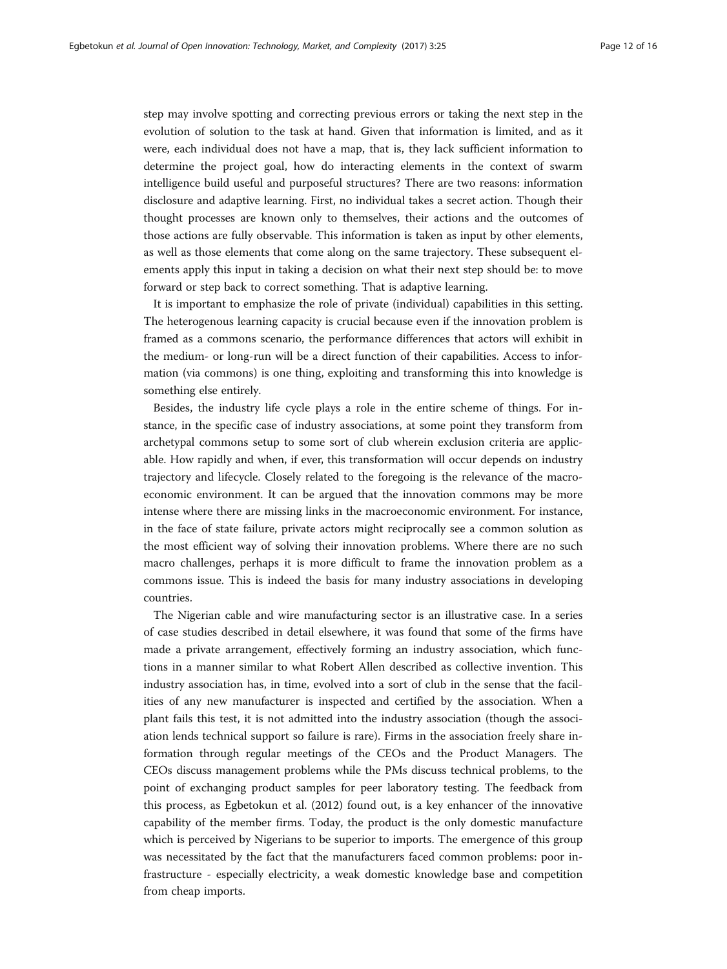step may involve spotting and correcting previous errors or taking the next step in the evolution of solution to the task at hand. Given that information is limited, and as it were, each individual does not have a map, that is, they lack sufficient information to determine the project goal, how do interacting elements in the context of swarm intelligence build useful and purposeful structures? There are two reasons: information disclosure and adaptive learning. First, no individual takes a secret action. Though their thought processes are known only to themselves, their actions and the outcomes of those actions are fully observable. This information is taken as input by other elements, as well as those elements that come along on the same trajectory. These subsequent elements apply this input in taking a decision on what their next step should be: to move forward or step back to correct something. That is adaptive learning.

It is important to emphasize the role of private (individual) capabilities in this setting. The heterogenous learning capacity is crucial because even if the innovation problem is framed as a commons scenario, the performance differences that actors will exhibit in the medium- or long-run will be a direct function of their capabilities. Access to information (via commons) is one thing, exploiting and transforming this into knowledge is something else entirely.

Besides, the industry life cycle plays a role in the entire scheme of things. For instance, in the specific case of industry associations, at some point they transform from archetypal commons setup to some sort of club wherein exclusion criteria are applicable. How rapidly and when, if ever, this transformation will occur depends on industry trajectory and lifecycle. Closely related to the foregoing is the relevance of the macroeconomic environment. It can be argued that the innovation commons may be more intense where there are missing links in the macroeconomic environment. For instance, in the face of state failure, private actors might reciprocally see a common solution as the most efficient way of solving their innovation problems. Where there are no such macro challenges, perhaps it is more difficult to frame the innovation problem as a commons issue. This is indeed the basis for many industry associations in developing countries.

The Nigerian cable and wire manufacturing sector is an illustrative case. In a series of case studies described in detail elsewhere, it was found that some of the firms have made a private arrangement, effectively forming an industry association, which functions in a manner similar to what Robert Allen described as collective invention. This industry association has, in time, evolved into a sort of club in the sense that the facilities of any new manufacturer is inspected and certified by the association. When a plant fails this test, it is not admitted into the industry association (though the association lends technical support so failure is rare). Firms in the association freely share information through regular meetings of the CEOs and the Product Managers. The CEOs discuss management problems while the PMs discuss technical problems, to the point of exchanging product samples for peer laboratory testing. The feedback from this process, as Egbetokun et al. [\(2012\)](#page-14-0) found out, is a key enhancer of the innovative capability of the member firms. Today, the product is the only domestic manufacture which is perceived by Nigerians to be superior to imports. The emergence of this group was necessitated by the fact that the manufacturers faced common problems: poor infrastructure - especially electricity, a weak domestic knowledge base and competition from cheap imports.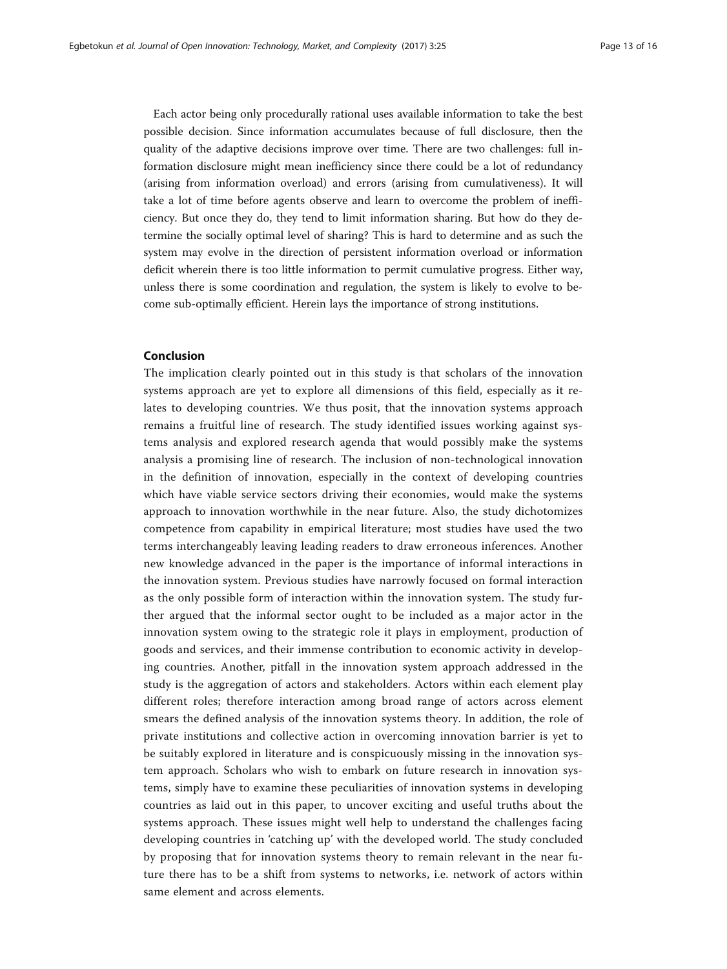Each actor being only procedurally rational uses available information to take the best possible decision. Since information accumulates because of full disclosure, then the quality of the adaptive decisions improve over time. There are two challenges: full information disclosure might mean inefficiency since there could be a lot of redundancy (arising from information overload) and errors (arising from cumulativeness). It will take a lot of time before agents observe and learn to overcome the problem of inefficiency. But once they do, they tend to limit information sharing. But how do they determine the socially optimal level of sharing? This is hard to determine and as such the system may evolve in the direction of persistent information overload or information deficit wherein there is too little information to permit cumulative progress. Either way, unless there is some coordination and regulation, the system is likely to evolve to become sub-optimally efficient. Herein lays the importance of strong institutions.

# Conclusion

The implication clearly pointed out in this study is that scholars of the innovation systems approach are yet to explore all dimensions of this field, especially as it relates to developing countries. We thus posit, that the innovation systems approach remains a fruitful line of research. The study identified issues working against systems analysis and explored research agenda that would possibly make the systems analysis a promising line of research. The inclusion of non-technological innovation in the definition of innovation, especially in the context of developing countries which have viable service sectors driving their economies, would make the systems approach to innovation worthwhile in the near future. Also, the study dichotomizes competence from capability in empirical literature; most studies have used the two terms interchangeably leaving leading readers to draw erroneous inferences. Another new knowledge advanced in the paper is the importance of informal interactions in the innovation system. Previous studies have narrowly focused on formal interaction as the only possible form of interaction within the innovation system. The study further argued that the informal sector ought to be included as a major actor in the innovation system owing to the strategic role it plays in employment, production of goods and services, and their immense contribution to economic activity in developing countries. Another, pitfall in the innovation system approach addressed in the study is the aggregation of actors and stakeholders. Actors within each element play different roles; therefore interaction among broad range of actors across element smears the defined analysis of the innovation systems theory. In addition, the role of private institutions and collective action in overcoming innovation barrier is yet to be suitably explored in literature and is conspicuously missing in the innovation system approach. Scholars who wish to embark on future research in innovation systems, simply have to examine these peculiarities of innovation systems in developing countries as laid out in this paper, to uncover exciting and useful truths about the systems approach. These issues might well help to understand the challenges facing developing countries in 'catching up' with the developed world. The study concluded by proposing that for innovation systems theory to remain relevant in the near future there has to be a shift from systems to networks, i.e. network of actors within same element and across elements.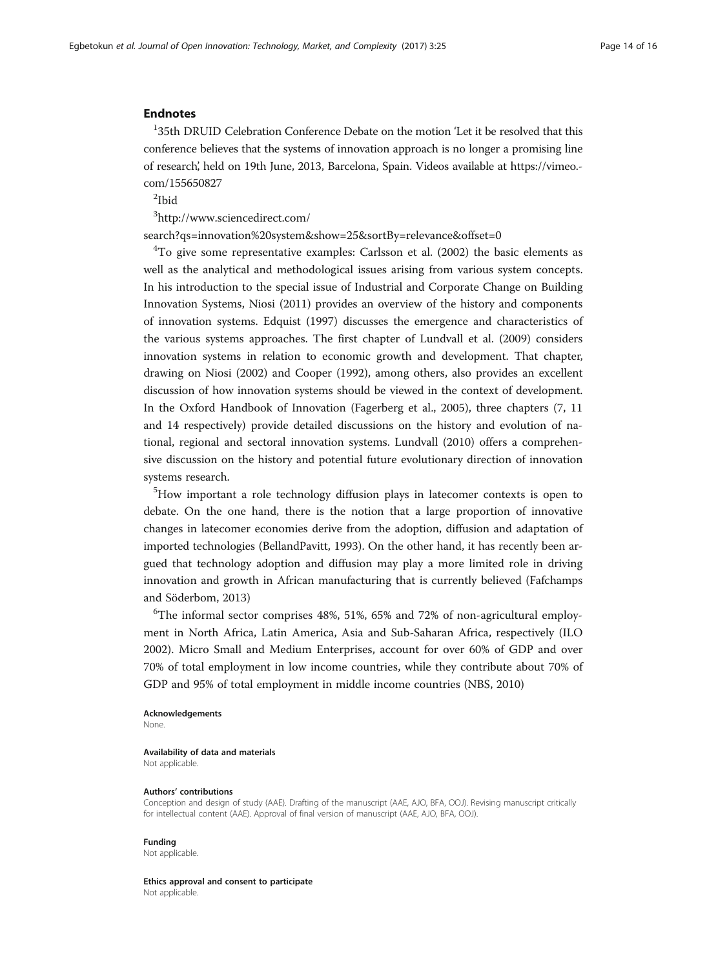## **Endnotes**

<sup>1</sup>35th DRUID Celebration Conference Debate on the motion 'Let it be resolved that this conference believes that the systems of innovation approach is no longer a promising line of research', held on 19th June, 2013, Barcelona, Spain. Videos available at [https://vimeo.](https://vimeo.com/155650827) [com/155650827](https://vimeo.com/155650827)

 $2$ Ibid

3 [http://www.sciencedirect.com/](http://www.sciencedirect.com/search?qs=innovation%20system&show=25&sortBy=relevance&offset=0)

[search?qs=innovation%20system&show=25&sortBy=relevance&offset=0](http://www.sciencedirect.com/search?qs=innovation%20system&show=25&sortBy=relevance&offset=0)

<sup>4</sup>To give some representative examples: Carlsson et al. (2002) the basic elements as well as the analytical and methodological issues arising from various system concepts. In his introduction to the special issue of Industrial and Corporate Change on Building Innovation Systems, Niosi (2011) provides an overview of the history and components of innovation systems. Edquist [\(1997\)](#page-14-0) discusses the emergence and characteristics of the various systems approaches. The first chapter of Lundvall et al. [\(2009\)](#page-15-0) considers innovation systems in relation to economic growth and development. That chapter, drawing on Niosi (2002) and Cooper (1992), among others, also provides an excellent discussion of how innovation systems should be viewed in the context of development. In the Oxford Handbook of Innovation (Fagerberg et al., 2005), three chapters (7, 11 and 14 respectively) provide detailed discussions on the history and evolution of national, regional and sectoral innovation systems. Lundvall [\(2010\)](#page-15-0) offers a comprehensive discussion on the history and potential future evolutionary direction of innovation systems research.

5 How important a role technology diffusion plays in latecomer contexts is open to debate. On the one hand, there is the notion that a large proportion of innovative changes in latecomer economies derive from the adoption, diffusion and adaptation of imported technologies (BellandPavitt, 1993). On the other hand, it has recently been argued that technology adoption and diffusion may play a more limited role in driving innovation and growth in African manufacturing that is currently believed (Fafchamps and Söderbom, [2013](#page-14-0))

<sup>6</sup>The informal sector comprises 48%, 51%, 65% and 72% of non-agricultural employment in North Africa, Latin America, Asia and Sub-Saharan Africa, respectively (ILO [2002](#page-15-0)). Micro Small and Medium Enterprises, account for over 60% of GDP and over 70% of total employment in low income countries, while they contribute about 70% of GDP and 95% of total employment in middle income countries (NBS, [2010\)](#page-15-0)

#### Acknowledgements None.

Availability of data and materials Not applicable.

#### Authors' contributions

Conception and design of study (AAE). Drafting of the manuscript (AAE, AJO, BFA, OOJ). Revising manuscript critically for intellectual content (AAE). Approval of final version of manuscript (AAE, AJO, BFA, OOJ).

Funding Not applicable.

Ethics approval and consent to participate Not applicable.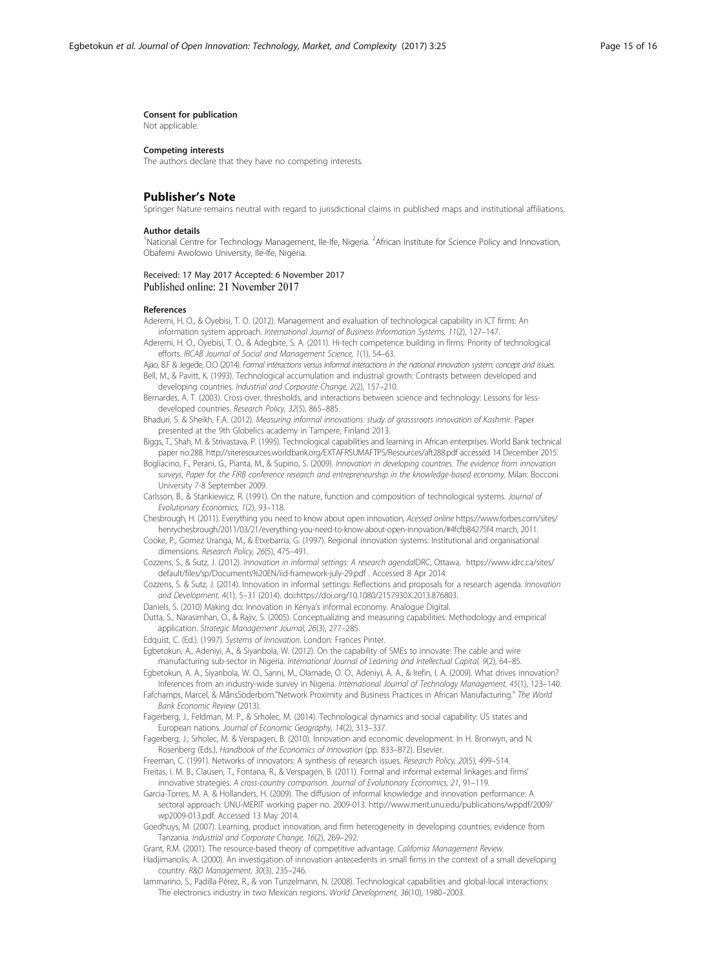#### <span id="page-14-0"></span>Consent for publication

Not applicable.

#### Competing interests

The authors declare that they have no competing interests.

# Publisher's Note

Springer Nature remains neutral with regard to jurisdictional claims in published maps and institutional affiliations.

#### Author details

<sup>1</sup>National Centre for Technology Management, Ile-Ife, Nigeria. <sup>2</sup>African Institute for Science Policy and Innovation, Obafemi Awolowo University, Ile-Ife, Nigeria.

#### Received: 17 May 2017 Accepted: 6 November 2017 Published online: 21 November 2017

#### References

Aderemi, H. O., & Oyebisi, T. O. (2012). Management and evaluation of technological capability in ICT firms: An information system approach. International Journal of Business Information Systems, 11(2), 127–147.

Aderemi, H. O., Oyebisi, T. O., & Adegbite, S. A. (2011). Hi-tech competence building in firms: Priority of technological efforts. IRCAB Journal of Social and Management Science, 1(1), 54–63.

Ajao, B.F & Jegede, O.O (2014). Formal interactions versus informal interactions in the national innovation system: concept and issues. Bell, M., & Pavitt, K. (1993). Technological accumulation and industrial growth: Contrasts between developed and developing countries. Industrial and Corporate Change, 2(2), 157–210.

Bernardes, A. T. (2003). Cross-over, thresholds, and interactions between science and technology: Lessons for lessdeveloped countries. Research Policy, 32(5), 865–885.

Bhaduri, S. & Sheikh, F.A. (2012). Measuring informal innovations: study of grasssroots innovation of Kashmir. Paper presented at the 9th Globelics academy in Tampere, Finland 2013.

Biggs, T., Shah, M. & Strivastava, P. (1995). Technological capabilities and learning in African enterprises. World Bank technical paper no.288.<http://siteresources.worldbank.org/EXTAFRSUMAFTPS/Resources/aft288.pdf> accessed 14 December 2015.

Bogliacino, F., Perani, G., Pianta, M., & Supino, S. (2009). Innovation in developing countries. The evidence from innovation surveys, Paper for the FIRB conference research and entrepreneurship in the knowledge-based economy. Milan: Bocconi University 7-8 September 2009.

Carlsson, B., & Stankiewicz, R. (1991). On the nature, function and composition of technological systems. Journal of Evolutionary Economics, 1(2), 93–118.

Chesbrough, H. (2011). Everything you need to know about open innovation, Acessed online [https://www.forbes.com/sites/](https://www.forbes.com/sites/henrychesbrough/2011/03/21/everything-you-need-to-know-about-open-innovation/#4fcfb84275f4) [henrychesbrough/2011/03/21/everything-you-need-to-know-about-open-innovation/#4fcfb84275f4](https://www.forbes.com/sites/henrychesbrough/2011/03/21/everything-you-need-to-know-about-open-innovation/#4fcfb84275f4) march, 2011.

Cooke, P., Gomez Uranga, M., & Etxebarria, G. (1997). Regional innovation systems: Institutional and organisational dimensions. Research Policy, 26(5), 475–491.

Cozzens, S., & Sutz, J. (2012). Innovation in informal settings: A research agendaIDRC, Ottawa. [https://www.idrc.ca/sites/](https://www.idrc.ca/sites/default/files/sp/Documents%20EN/iid-framework-july-29.pdf) [default/files/sp/Documents%20EN/iid-framework-july-29.pdf .](https://www.idrc.ca/sites/default/files/sp/Documents%20EN/iid-framework-july-29.pdf) Accessed 8 Apr 2014.

Cozzens, S. & Sutz, J. (2014). Innovation in informal settings: Reflections and proposals for a research agenda. Innovation and Development, 4(1), 5–31 (2014). doi:[https://doi.org/10.1080/2157930X.2013.876803](http://dx.doi.org/10.1080/2157930X.2013.876803).

Daniels, S. (2010) Making do: Innovation in Kenya's informal economy. Analogue Digital.

Dutta, S., Narasimhan, O., & Rajiv, S. (2005). Conceptualizing and measuring capabilities: Methodology and empirical application. Strategic Management Journal, 26(3), 277–285.

Edquist, C. (Ed.). (1997). Systems of Innovation. London: Frances Pinter.

Egbetokun, A., Adeniyi, A., & Siyanbola, W. (2012). On the capability of SMEs to innovate: The cable and wire manufacturing sub-sector in Nigeria. International Journal of Learning and Intellectual Capital, 9(2), 64–85.

Egbetokun, A. A., Siyanbola, W. O., Sanni, M., Olamade, O. O., Adeniyi, A. A., & Irefin, I. A. (2009). What drives innovation? Inferences from an industry-wide survey in Nigeria. International Journal of Technology Management, 45(1), 123–140.

Fafchamps, Marcel, & MånsSöderbom."Network Proximity and Business Practices in African Manufacturing." The World Bank Economic Review (2013).

Fagerberg, J., Feldman, M. P., & Srholec, M. (2014). Technological dynamics and social capability: US states and European nations. Journal of Economic Geography, 14(2), 313–337.

Fagerberg, J.; Srholec, M. & Verspagen, B. (2010). Innovation and economic development. In H. Bronwyn, and N. Rosenberg (Eds.), Handbook of the Economics of Innovation (pp. 833–872). Elsevier.

Freeman, C. (1991). Networks of innovators: A synthesis of research issues. Research Policy, 20(5), 499–514. Freitas, I. M. B., Clausen, T., Fontana, R., & Verspagen, B. (2011). Formal and informal external linkages and firms'

innovative strategies. A cross-country comparison. Journal of Evolutionary Economics, 21, 91–119.

Garcia-Torres, M. A. & Hollanders, H. (2009). The diffusion of informal knowledge and innovation performance: A sectoral approach. UNU-MERIT working paper no. 2009-013. [http://www.merit.unu.edu/publications/wppdf/2009/](http://www.merit.unu.edu/publications/wppdf/2009/wp2009-013.pdf) [wp2009-013.pdf](http://www.merit.unu.edu/publications/wppdf/2009/wp2009-013.pdf). Accessed 13 May 2014.

Goedhuys, M. (2007). Learning, product innovation, and firm heterogeneity in developing countries; evidence from Tanzania. Industrial and Corporate Change, 16(2), 269–292.

Grant, R.M. (2001). The resource-based theory of competitive advantage. California Management Review.

Hadjimanolis, A. (2000). An investigation of innovation antecedents in small firms in the context of a small developing country. R&D Management, 30(3), 235–246.

Iammarino, S., Padilla-Pérez, R., & von Tunzelmann, N. (2008). Technological capabilities and global-local interactions: The electronics industry in two Mexican regions. World Development, 36(10), 1980–2003.